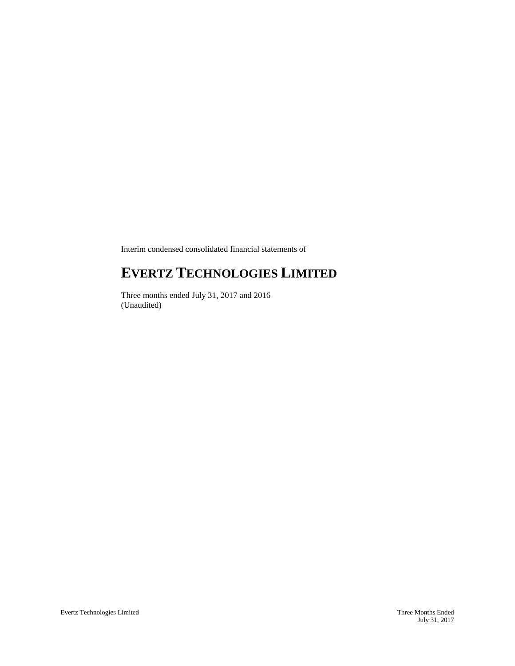Interim condensed consolidated financial statements of

# **EVERTZ TECHNOLOGIES LIMITED**

Three months ended July 31, 2017 and 2016 (Unaudited)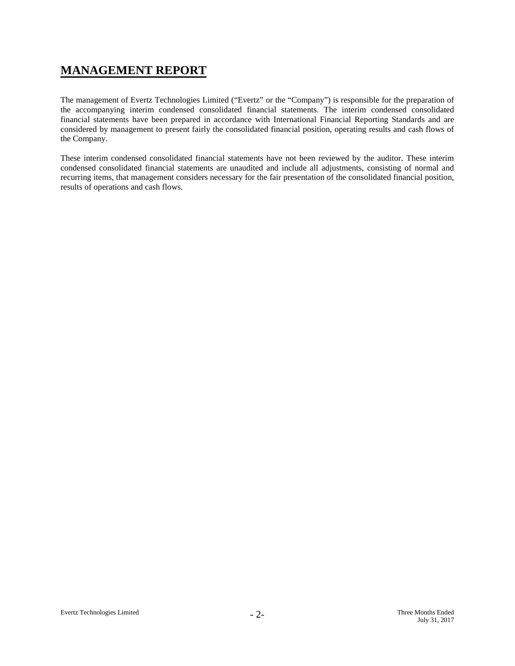# **MANAGEMENT REPORT**

The management of Evertz Technologies Limited ("Evertz" or the "Company") is responsible for the preparation of the accompanying interim condensed consolidated financial statements. The interim condensed consolidated financial statements have been prepared in accordance with International Financial Reporting Standards and are considered by management to present fairly the consolidated financial position, operating results and cash flows of the Company.

These interim condensed consolidated financial statements have not been reviewed by the auditor. These interim condensed consolidated financial statements are unaudited and include all adjustments, consisting of normal and recurring items, that management considers necessary for the fair presentation of the consolidated financial position, results of operations and cash flows.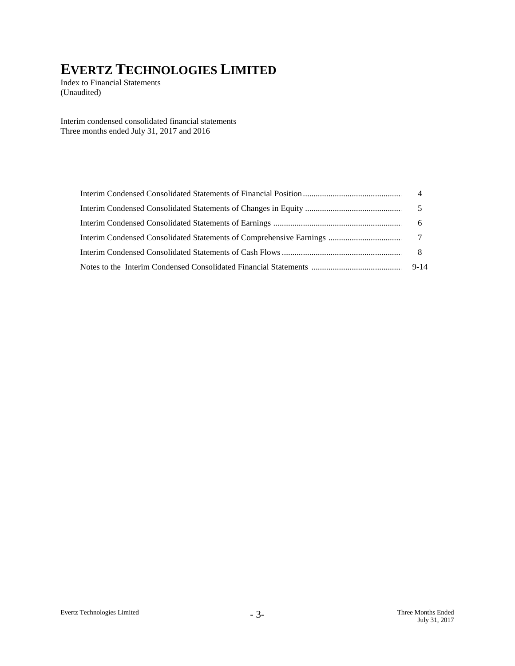Index to Financial Statements (Unaudited)

Interim condensed consolidated financial statements Three months ended July 31, 2017 and 2016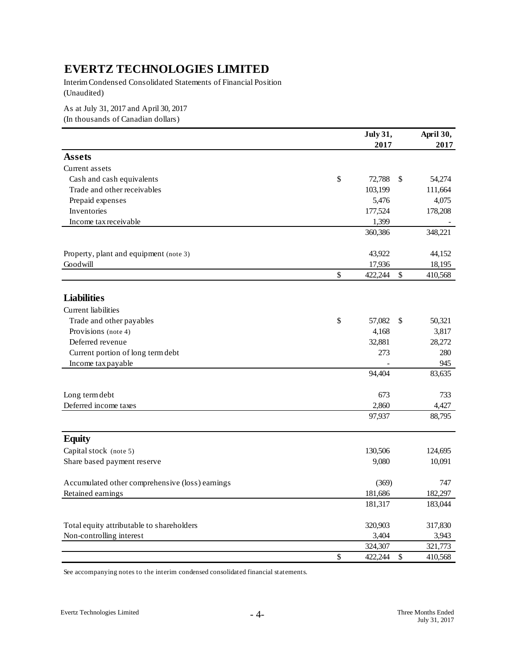Interim Condensed Consolidated Statements of Financial Position (Unaudited)

As at July 31, 2017 and April 30, 2017

(In thousands of Canadian dollars)

|                                                 |               | <b>July 31,</b> |               | April 30, |
|-------------------------------------------------|---------------|-----------------|---------------|-----------|
|                                                 |               | 2017            |               | 2017      |
| <b>Assets</b>                                   |               |                 |               |           |
| Current assets                                  |               |                 |               |           |
| Cash and cash equivalents                       | $\mathsf{\$}$ | 72,788          | <sup>\$</sup> | 54,274    |
| Trade and other receivables                     |               | 103,199         |               | 111,664   |
| Prepaid expenses                                |               | 5,476           |               | 4,075     |
| Inventories                                     |               | 177,524         |               | 178,208   |
| Income tax receivable                           |               | 1,399           |               |           |
|                                                 |               | 360,386         |               | 348,221   |
| Property, plant and equipment (note 3)          |               | 43,922          |               | 44,152    |
| Goodwill                                        |               | 17,936          |               | 18,195    |
|                                                 | $\mathsf{\$}$ | 422,244         | \$            | 410,568   |
| <b>Liabilities</b>                              |               |                 |               |           |
|                                                 |               |                 |               |           |
| Current liabilities                             |               |                 |               |           |
| Trade and other payables                        | \$            | 57,082          | \$            | 50,321    |
| Provisions (note 4)                             |               | 4,168           |               | 3,817     |
| Deferred revenue                                |               | 32,881          |               | 28,272    |
| Current portion of long term debt               |               | 273             |               | 280       |
| Income tax payable                              |               |                 |               | 945       |
|                                                 |               | 94,404          |               | 83,635    |
| Long term debt                                  |               | 673             |               | 733       |
| Deferred income taxes                           |               | 2,860           |               | 4,427     |
|                                                 |               | 97,937          |               | 88,795    |
| <b>Equity</b>                                   |               |                 |               |           |
| Capital stock (note 5)                          |               | 130,506         |               | 124,695   |
| Share based payment reserve                     |               | 9,080           |               | 10,091    |
|                                                 |               |                 |               |           |
| Accumulated other comprehensive (loss) earnings |               | (369)           |               | 747       |
| Retained earnings                               |               | 181,686         |               | 182,297   |
|                                                 |               | 181,317         |               | 183,044   |
| Total equity attributable to shareholders       |               | 320,903         |               | 317,830   |
| Non-controlling interest                        |               | 3,404           |               | 3,943     |
|                                                 |               | 324,307         |               | 321,773   |
|                                                 | \$            | 422,244         | $\$$          | 410,568   |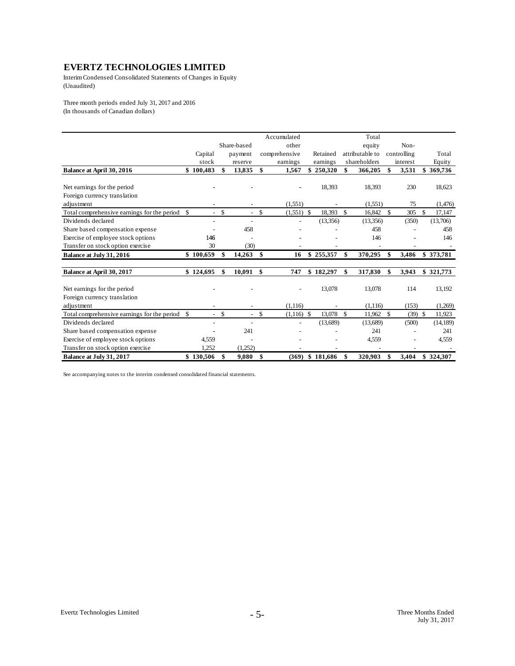Interim Condensed Consolidated Statements of Changes in Equity (Unaudited)

Three month periods ended July 31, 2017 and 2016 (In thousands of Canadian dollars)

|                                                |                          |               |                          |               | Accumulated   |           |                    | Total           |             |     |           |
|------------------------------------------------|--------------------------|---------------|--------------------------|---------------|---------------|-----------|--------------------|-----------------|-------------|-----|-----------|
|                                                |                          |               | Share-based              |               | other         |           |                    | equity          | Non-        |     |           |
|                                                | Capital                  |               | payment                  |               | comprehensive | Retained  |                    | attributable to | controlling |     | Total     |
|                                                | stock                    |               | reserve                  |               | earnings      | earnings  |                    | shareholders    | interest    |     | Equity    |
| Balance at April 30, 2016                      | \$100,483                | \$            | 13,835                   | \$            | 1,567         | \$250,320 | \$                 | 366,205         | 3,531       |     | 369,736   |
| Net earnings for the period                    |                          |               |                          |               |               | 18,393    |                    | 18,393          | 230         |     | 18,623    |
| Foreign currency translation                   |                          |               |                          |               |               |           |                    |                 |             |     |           |
| adjustment                                     |                          |               |                          |               | (1,551)       |           |                    | (1, 551)        | 75          |     | (1,476)   |
| Total comprehensive earnings for the period \$ | $\mathbf{r}$             | \$            | $\overline{\phantom{a}}$ | $\mathcal{S}$ | $(1,551)$ \$  | 18,393    | $\mathbf{\hat{s}}$ | 16,842          | \$<br>305   | \$. | 17.147    |
| Dividends declared                             |                          |               |                          |               |               | (13,356)  |                    | (13,356)        | (350)       |     | (13,706)  |
| Share based compensation expense               |                          |               | 458                      |               |               |           |                    | 458             |             |     | 458       |
| Exercise of employee stock options             | 146                      |               |                          |               |               |           |                    | 146             |             |     | 146       |
| Transfer on stock option exercise              | 30                       |               | (30)                     |               |               |           |                    |                 |             |     |           |
| Balance at July 31, 2016                       | \$100,659                | \$            | 14,263                   | \$            | 16            | \$255,357 | \$                 | 370,295         | \$<br>3,486 |     | \$373,781 |
|                                                |                          |               |                          |               |               |           |                    |                 |             |     |           |
| Balance at April 30, 2017                      | \$124,695                | \$            | 10,091                   | \$            | 747           | \$182,297 | \$                 | 317,830         | \$<br>3,943 |     | \$321,773 |
| Net earnings for the period                    |                          |               |                          |               |               | 13,078    |                    | 13,078          | 114         |     | 13,192    |
| Foreign currency translation                   |                          |               |                          |               |               |           |                    |                 |             |     |           |
| adjustment                                     |                          |               |                          |               | (1, 116)      |           |                    | (1, 116)        | (153)       |     | (1,269)   |
| Total comprehensive earnings for the period \$ | $\sim$                   | <sup>\$</sup> | $\overline{a}$           | $\mathcal{S}$ | $(1,116)$ \$  | 13,078    | $\mathbf{\hat{s}}$ | 11,962 \$       | $(39)$ \$   |     | 11,923    |
| Dividends declared                             | $\overline{\phantom{0}}$ |               |                          |               |               | (13,689)  |                    | (13,689)        | (500)       |     | (14, 189) |
| Share based compensation expense               |                          |               | 241                      |               |               |           |                    | 241             |             |     | 241       |
| Exercise of employee stock options             | 4,559                    |               |                          |               |               |           |                    | 4,559           |             |     | 4,559     |
| Transfer on stock option exercise              | 1.252                    |               | (1,252)                  |               |               |           |                    |                 |             |     |           |
| Balance at July 31, 2017                       | \$130.506                | \$            | 9,080                    | -\$           | (369)         | \$181,686 | \$                 | 320.903         | \$<br>3,404 |     | \$324.307 |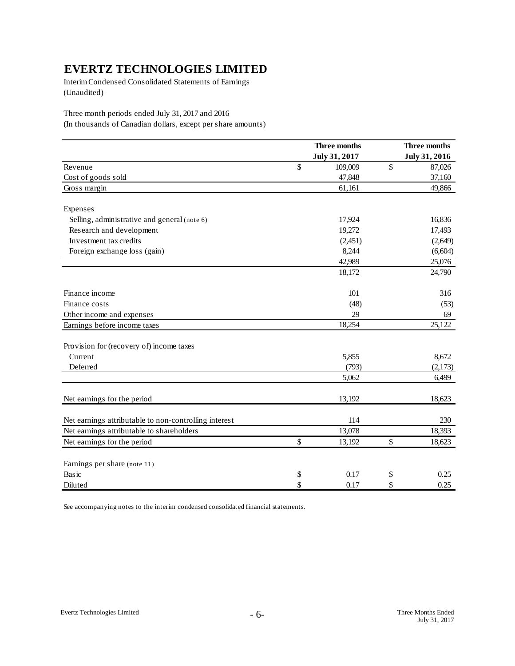Interim Condensed Consolidated Statements of Earnings (Unaudited)

Three month periods ended July 31, 2017 and 2016

(In thousands of Canadian dollars, except per share amounts)

|                                                       | Three months  |    |               |  |
|-------------------------------------------------------|---------------|----|---------------|--|
|                                                       | July 31, 2017 |    | July 31, 2016 |  |
| Revenue                                               | \$<br>109,009 | \$ | 87,026        |  |
| Cost of goods sold                                    | 47,848        |    | 37,160        |  |
| Gross margin                                          | 61,161        |    | 49,866        |  |
| Expenses                                              |               |    |               |  |
| Selling, administrative and general (note 6)          | 17,924        |    | 16,836        |  |
| Research and development                              | 19,272        |    | 17,493        |  |
| Investment tax credits                                | (2, 451)      |    | (2,649)       |  |
| Foreign exchange loss (gain)                          | 8,244         |    | (6, 604)      |  |
|                                                       | 42,989        |    | 25,076        |  |
|                                                       | 18,172        |    | 24,790        |  |
| Finance income                                        | 101           |    | 316           |  |
| Finance costs                                         | (48)          |    | (53)          |  |
| Other income and expenses                             | 29            |    | 69            |  |
| Earnings before income taxes                          | 18,254        |    | 25,122        |  |
| Provision for (recovery of) income taxes              |               |    |               |  |
| Current                                               | 5,855         |    | 8,672         |  |
| Deferred                                              | (793)         |    | (2,173)       |  |
|                                                       | 5,062         |    | 6,499         |  |
| Net earnings for the period                           | 13,192        |    | 18,623        |  |
| Net earnings attributable to non-controlling interest | 114           |    | 230           |  |
| Net earnings attributable to shareholders             | 13,078        |    | 18,393        |  |
| Net earnings for the period                           | \$<br>13,192  | \$ | 18,623        |  |
| Earnings per share (note 11)                          |               |    |               |  |
| Basic                                                 | \$<br>0.17    | \$ | 0.25          |  |
| Diluted                                               | \$<br>0.17    | \$ | 0.25          |  |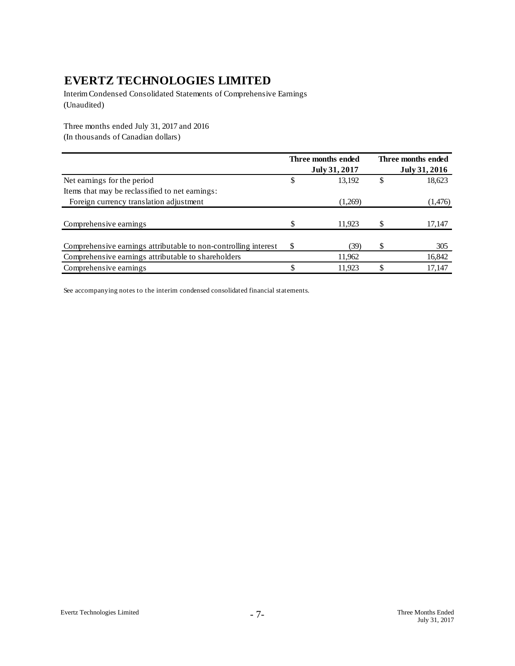Interim Condensed Consolidated Statements of Comprehensive Earnings (Unaudited)

Three months ended July 31, 2017 and 2016 (In thousands of Canadian dollars)

|                                                                 |    | Three months ended |   | Three months ended |
|-----------------------------------------------------------------|----|--------------------|---|--------------------|
|                                                                 |    | July 31, 2017      |   | July 31, 2016      |
| Net earnings for the period                                     | \$ | 13,192             | S | 18,623             |
| Items that may be reclassified to net earnings:                 |    |                    |   |                    |
| Foreign currency translation adjustment                         |    | (1,269)            |   | (1,476)            |
|                                                                 |    |                    |   |                    |
| Comprehensive earnings                                          |    | 11.923             |   | 17,147             |
|                                                                 |    |                    |   |                    |
| Comprehensive earnings attributable to non-controlling interest | S  | (39)               |   | 305                |
| Comprehensive earnings attributable to shareholders             |    | 11,962             |   | 16,842             |
| Comprehensive earnings                                          |    | 11.923             |   | 17,147             |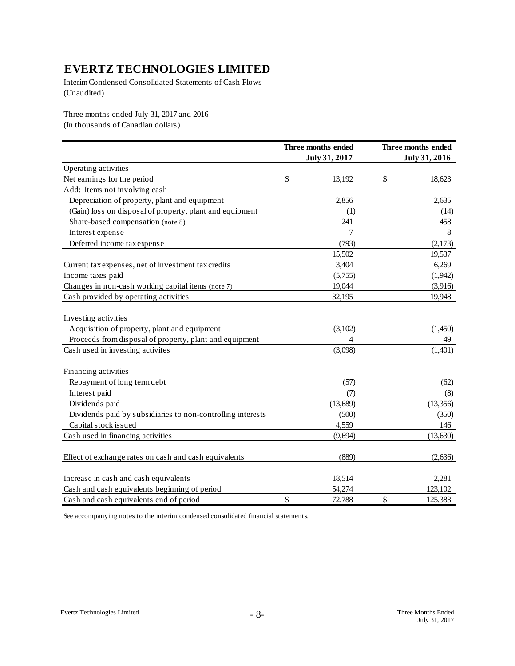Interim Condensed Consolidated Statements of Cash Flows (Unaudited)

Three months ended July 31, 2017 and 2016 (In thousands of Canadian dollars)

|                                                             | Three months ended<br>July 31, 2017 | Three months ended<br>July 31, 2016 |
|-------------------------------------------------------------|-------------------------------------|-------------------------------------|
| Operating activities                                        |                                     |                                     |
| Net earnings for the period                                 | \$<br>13,192                        | \$<br>18,623                        |
| Add: Items not involving cash                               |                                     |                                     |
| Depreciation of property, plant and equipment               | 2,856                               | 2,635                               |
| (Gain) loss on disposal of property, plant and equipment    | (1)                                 | (14)                                |
| Share-based compensation (note 8)                           | 241                                 | 458                                 |
| Interest expense                                            | 7                                   | 8                                   |
| Deferred income tax expense                                 | (793)                               | (2,173)                             |
|                                                             | 15,502                              | 19,537                              |
| Current tax expenses, net of investment tax credits         | 3,404                               | 6,269                               |
| Income taxes paid                                           | (5,755)                             | (1,942)                             |
| Changes in non-cash working capital items (note 7)          | 19,044                              | (3,916)                             |
| Cash provided by operating activities                       | 32,195                              | 19,948                              |
| Investing activities                                        |                                     |                                     |
| Acquisition of property, plant and equipment                | (3,102)                             | (1,450)                             |
| Proceeds from disposal of property, plant and equipment     | 4                                   | 49                                  |
| Cash used in investing activites                            | (3,098)                             | (1,401)                             |
|                                                             |                                     |                                     |
| Financing activities                                        |                                     |                                     |
| Repayment of long term debt                                 | (57)                                | (62)                                |
| Interest paid                                               | (7)                                 | (8)                                 |
| Dividends paid                                              | (13,689)                            | (13,356)                            |
| Dividends paid by subsidiaries to non-controlling interests | (500)                               | (350)                               |
| Capital stock issued                                        | 4,559                               | 146                                 |
| Cash used in financing activities                           | (9,694)                             | (13, 630)                           |
| Effect of exchange rates on cash and cash equivalents       | (889)                               | (2,636)                             |
| Increase in cash and cash equivalents                       | 18,514                              | 2,281                               |
| Cash and cash equivalents beginning of period               | 54,274                              | 123,102                             |
| Cash and cash equivalents end of period                     | \$<br>72,788                        | \$<br>125,383                       |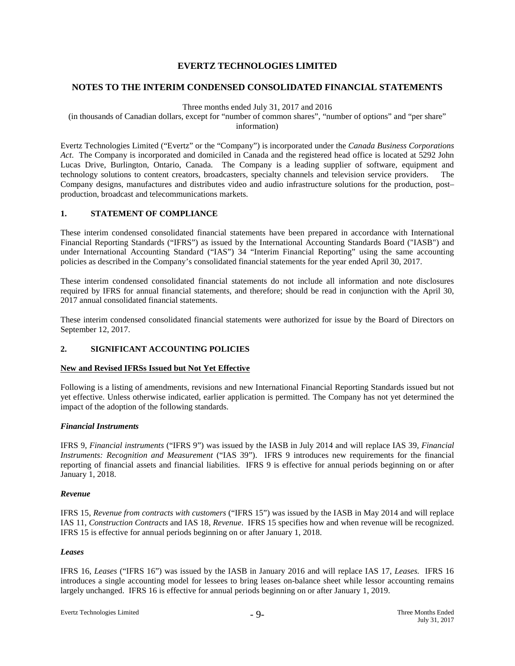#### **NOTES TO THE INTERIM CONDENSED CONSOLIDATED FINANCIAL STATEMENTS**

#### Three months ended July 31, 2017 and 2016

(in thousands of Canadian dollars, except for "number of common shares", "number of options" and "per share" information)

Evertz Technologies Limited ("Evertz" or the "Company") is incorporated under the *Canada Business Corporations Act*. The Company is incorporated and domiciled in Canada and the registered head office is located at 5292 John Lucas Drive, Burlington, Ontario, Canada. The Company is a leading supplier of software, equipment and technology solutions to content creators, broadcasters, specialty channels and television service providers. The Company designs, manufactures and distributes video and audio infrastructure solutions for the production, post– production, broadcast and telecommunications markets.

#### **1. STATEMENT OF COMPLIANCE**

These interim condensed consolidated financial statements have been prepared in accordance with International Financial Reporting Standards ("IFRS") as issued by the International Accounting Standards Board ("IASB") and under International Accounting Standard ("IAS") 34 "Interim Financial Reporting" using the same accounting policies as described in the Company's consolidated financial statements for the year ended April 30, 2017.

These interim condensed consolidated financial statements do not include all information and note disclosures required by IFRS for annual financial statements, and therefore; should be read in conjunction with the April 30, 2017 annual consolidated financial statements.

These interim condensed consolidated financial statements were authorized for issue by the Board of Directors on September 12, 2017.

#### **2. SIGNIFICANT ACCOUNTING POLICIES**

#### **New and Revised IFRSs Issued but Not Yet Effective**

Following is a listing of amendments, revisions and new International Financial Reporting Standards issued but not yet effective. Unless otherwise indicated, earlier application is permitted. The Company has not yet determined the impact of the adoption of the following standards.

#### *Financial Instruments*

IFRS 9, *Financial instruments* ("IFRS 9") was issued by the IASB in July 2014 and will replace IAS 39, *Financial Instruments: Recognition and Measurement* ("IAS 39"). IFRS 9 introduces new requirements for the financial reporting of financial assets and financial liabilities. IFRS 9 is effective for annual periods beginning on or after January 1, 2018.

#### *Revenue*

IFRS 15, *Revenue from contracts with customers* ("IFRS 15") was issued by the IASB in May 2014 and will replace IAS 11, *Construction Contracts* and IAS 18, *Revenue*. IFRS 15 specifies how and when revenue will be recognized. IFRS 15 is effective for annual periods beginning on or after January 1, 2018.

#### *Leases*

IFRS 16, *Leases* ("IFRS 16") was issued by the IASB in January 2016 and will replace IAS 17, *Leases.* IFRS 16 introduces a single accounting model for lessees to bring leases on-balance sheet while lessor accounting remains largely unchanged. IFRS 16 is effective for annual periods beginning on or after January 1, 2019.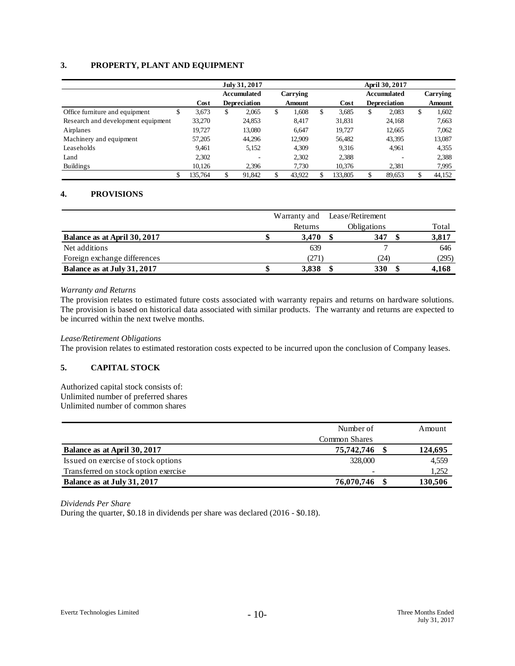### **3. PROPERTY, PLANT AND EQUIPMENT**

|                                     |         | July 31, 2017      |                     |    |               | April 30, 2017 |         |    |                     |    |          |
|-------------------------------------|---------|--------------------|---------------------|----|---------------|----------------|---------|----|---------------------|----|----------|
|                                     |         | <b>Accumulated</b> |                     |    | Carrying      |                |         |    | <b>Accumulated</b>  |    | Carrying |
|                                     | Cost    |                    | <b>Depreciation</b> |    | <b>Amount</b> |                | Cost    |    | <b>Depreciation</b> |    | Amount   |
| Office furniture and equipment<br>S | 3,673   | \$                 | 2,065               | \$ | 1,608         | \$             | 3,685   | \$ | 2,083               | \$ | 1,602    |
| Research and development equipment  | 33,270  |                    | 24,853              |    | 8.417         |                | 31,831  |    | 24,168              |    | 7,663    |
| Airplanes                           | 19.727  |                    | 13,080              |    | 6.647         |                | 19.727  |    | 12,665              |    | 7,062    |
| Machinery and equipment             | 57,205  |                    | 44,296              |    | 12,909        |                | 56,482  |    | 43,395              |    | 13,087   |
| Leaseholds                          | 9.461   |                    | 5,152               |    | 4,309         |                | 9.316   |    | 4,961               |    | 4,355    |
| Land                                | 2,302   |                    |                     |    | 2,302         |                | 2,388   |    |                     |    | 2,388    |
| <b>Buildings</b>                    | 10,126  |                    | 2.396               |    | 7,730         |                | 10,376  |    | 2,381               |    | 7,995    |
| \$                                  | 135.764 |                    | 91,842              | \$ | 43,922        |                | 133,805 | \$ | 89,653              | \$ | 44,152   |

### **4. PROVISIONS**

|                              |         | Warranty and Lease/Retirement |       |
|------------------------------|---------|-------------------------------|-------|
|                              | Returns | <b>Obligations</b>            | Total |
| Balance as at April 30, 2017 | 3.470   | 347                           | 3,817 |
| Net additions                | 639     |                               | 646   |
| Foreign exchange differences | (271)   | (24)                          | (295) |
| Balance as at July 31, 2017  | 3.838   | 330                           | 4,168 |

#### *Warranty and Returns*

The provision relates to estimated future costs associated with warranty repairs and returns on hardware solutions. The provision is based on historical data associated with similar products. The warranty and returns are expected to be incurred within the next twelve months.

#### *Lease/Retirement Obligations*

The provision relates to estimated restoration costs expected to be incurred upon the conclusion of Company leases.

## **5. CAPITAL STOCK**

Authorized capital stock consists of: Unlimited number of preferred shares Unlimited number of common shares

|                                      | Number of     | Amount  |
|--------------------------------------|---------------|---------|
|                                      | Common Shares |         |
| Balance as at April 30, 2017         | 75,742,746    | 124,695 |
| Issued on exercise of stock options  | 328,000       | 4,559   |
| Transferred on stock option exercise |               | 1,252   |
| Balance as at July 31, 2017          | 76,070,746    | 130,506 |

*Dividends Per Share*

During the quarter, \$0.18 in dividends per share was declared (2016 - \$0.18).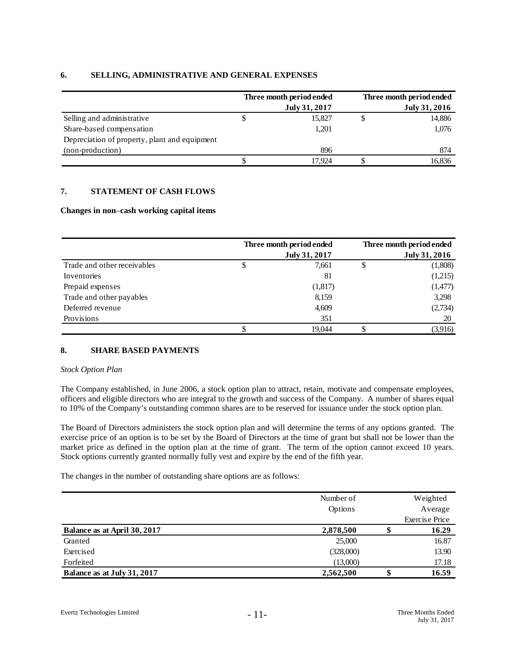|                                               | Three month period ended |   | Three month period ended |
|-----------------------------------------------|--------------------------|---|--------------------------|
|                                               | July 31, 2017            |   | July 31, 2016            |
| Selling and administrative                    | 15.827                   | J | 14,886                   |
| Share-based compensation                      | 1,201                    |   | 1,076                    |
| Depreciation of property, plant and equipment |                          |   |                          |
| (non-production)                              | 896                      |   | 874                      |
|                                               | 17.924                   |   | 16,836                   |

#### **6. SELLING, ADMINISTRATIVE AND GENERAL EXPENSES**

### **7. STATEMENT OF CASH FLOWS**

#### **Changes in non**–**cash working capital items**

|                             | Three month period ended | Three month period ended |
|-----------------------------|--------------------------|--------------------------|
|                             | July 31, 2017            | July 31, 2016            |
| Trade and other receivables | \$<br>7,661              | \$<br>(1,808)            |
| Inventories                 | 81                       | (1,215)                  |
| Prepaid expenses            | (1,817)                  | (1,477)                  |
| Trade and other payables    | 8,159                    | 3,298                    |
| Deferred revenue            | 4,609                    | (2,734)                  |
| Provisions                  | 351                      | 20                       |
|                             | 19.044                   | (3,916)                  |

#### **8. SHARE BASED PAYMENTS**

#### *Stock Option Plan*

The Company established, in June 2006, a stock option plan to attract, retain, motivate and compensate employees, officers and eligible directors who are integral to the growth and success of the Company. A number of shares equal to 10% of the Company's outstanding common shares are to be reserved for issuance under the stock option plan.

The Board of Directors administers the stock option plan and will determine the terms of any options granted. The exercise price of an option is to be set by the Board of Directors at the time of grant but shall not be lower than the market price as defined in the option plan at the time of grant. The term of the option cannot exceed 10 years. Stock options currently granted normally fully vest and expire by the end of the fifth year.

The changes in the number of outstanding share options are as follows:

|                              | Number of |    | Weighted              |
|------------------------------|-----------|----|-----------------------|
|                              | Options   |    | Average               |
|                              |           |    | <b>Exercise Price</b> |
| Balance as at April 30, 2017 | 2,878,500 |    | 16.29                 |
| Granted                      | 25,000    |    | 16.87                 |
| Exercised                    | (328,000) |    | 13.90                 |
| Forfeited                    | (13,000)  |    | 17.18                 |
| Balance as at July 31, 2017  | 2,562,500 | ۰D | 16.59                 |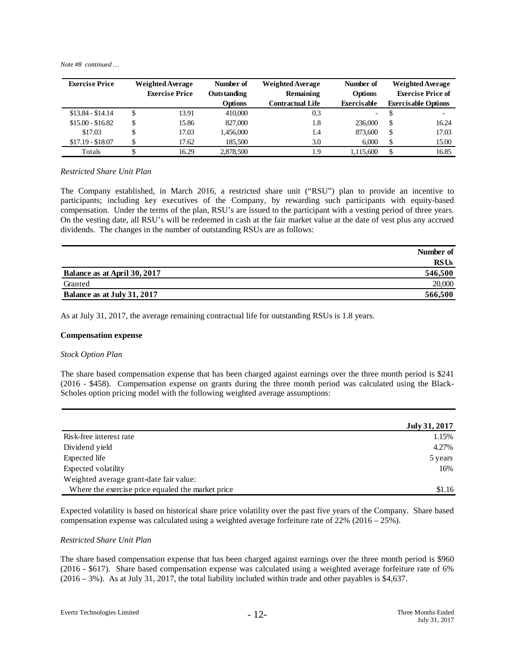*Note #8 continued …*

| <b>Exercise Price</b> | <b>Weighted Average</b> |                       | Number of      | <b>Weighted Average</b> | Number of          |    | <b>Weighted Average</b>    |
|-----------------------|-------------------------|-----------------------|----------------|-------------------------|--------------------|----|----------------------------|
|                       |                         | <b>Exercise Price</b> | Outstanding    | Remaining               | <b>Options</b>     |    | <b>Exercise Price of</b>   |
|                       |                         |                       | <b>Options</b> | <b>Contractual Life</b> | <b>Exercisable</b> |    | <b>Exercisable Options</b> |
| $$13.84 - $14.14$     | \$                      | 13.91                 | 410,000        | 0.3                     | -                  | Φ  | ٠                          |
| $$15.00 - $16.82$     | \$                      | 15.86                 | 827,000        | 1.8                     | 236,000            | -S | 16.24                      |
| \$17.03               | \$                      | 17.03                 | 1,456,000      | 1.4                     | 873,600            | S  | 17.03                      |
| $$17.19 - $18.07$     | Φ                       | 17.62                 | 185,500        | 3.0                     | 6.000              | S  | 15.00                      |
| Totals                |                         | 16.29                 | 2,878,500      | 1.9                     | 1.115.600          |    | 16.85                      |

#### *Restricted Share Unit Plan*

The Company established, in March 2016, a restricted share unit ("RSU") plan to provide an incentive to participants; including key executives of the Company, by rewarding such participants with equity-based compensation. Under the terms of the plan, RSU's are issued to the participant with a vesting period of three years. On the vesting date, all RSU's will be redeemed in cash at the fair market value at the date of vest plus any accrued dividends. The changes in the number of outstanding RSUs are as follows:

|                              | Number of   |
|------------------------------|-------------|
|                              | <b>RSUs</b> |
| Balance as at April 30, 2017 | 546,500     |
| Granted                      | 20,000      |
| Balance as at July 31, 2017  | 566,500     |

As at July 31, 2017, the average remaining contractual life for outstanding RSUs is 1.8 years.

#### **Compensation expense**

#### *Stock Option Plan*

The share based compensation expense that has been charged against earnings over the three month period is \$241 (2016 - \$458). Compensation expense on grants during the three month period was calculated using the Black-Scholes option pricing model with the following weighted average assumptions:

|                                                   | July 31, 2017 |
|---------------------------------------------------|---------------|
| Risk-free interest rate                           | 1.15%         |
| Dividend yield                                    | 4.27%         |
| Expected life                                     | 5 years       |
| Expected volatility                               | 16%           |
| Weighted average grant-date fair value:           |               |
| Where the exercise price equaled the market price | \$1.16        |

Expected volatility is based on historical share price volatility over the past five years of the Company. Share based compensation expense was calculated using a weighted average forfeiture rate of 22% (2016 – 25%).

#### *Restricted Share Unit Plan*

The share based compensation expense that has been charged against earnings over the three month period is \$960 (2016 - \$617). Share based compensation expense was calculated using a weighted average forfeiture rate of 6% (2016 – 3%). As at July 31, 2017, the total liability included within trade and other payables is \$4,637.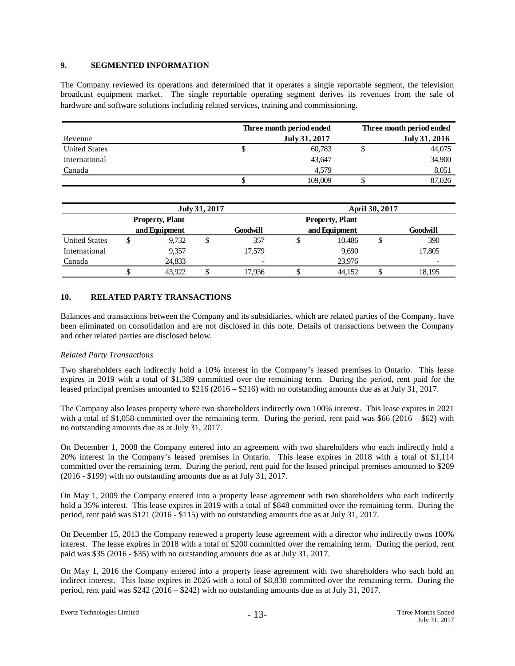#### **9. SEGMENTED INFORMATION**

The Company reviewed its operations and determined that it operates a single reportable segment, the television broadcast equipment market. The single reportable operating segment derives its revenues from the sale of hardware and software solutions including related services, training and commissioning.

|                      | Three month period ended |         | Three month period ended |               |  |
|----------------------|--------------------------|---------|--------------------------|---------------|--|
| Revenue              | July 31, 2017            |         |                          | July 31, 2016 |  |
| <b>United States</b> | Φ                        | 60,783  |                          | 44,075        |  |
| International        |                          | 43,647  |                          | 34,900        |  |
| Canada               |                          | 4.579   |                          | 8,051         |  |
|                      |                          | 109,009 |                          | 87,026        |  |

|                      | July 31, 2017          |        |   |                        | <b>April 30, 2017</b> |               |          |        |
|----------------------|------------------------|--------|---|------------------------|-----------------------|---------------|----------|--------|
|                      | <b>Property, Plant</b> |        |   | <b>Property, Plant</b> |                       |               |          |        |
|                      | and Equipment          |        |   | Goodwill               |                       | and Equipment | Goodwill |        |
| <b>United States</b> |                        | 9,732  | D | 357                    |                       | 10.486        | Φ        | 390    |
| International        |                        | 9,357  |   | 17.579                 |                       | 9.690         |          | 17,805 |
| Canada               |                        | 24.833 |   |                        |                       | 23,976        |          |        |
|                      | D                      | 43.922 |   | 17.936                 |                       | 44.152        |          | 18.195 |

#### **10. RELATED PARTY TRANSACTIONS**

Balances and transactions between the Company and its subsidiaries, which are related parties of the Company, have been eliminated on consolidation and are not disclosed in this note. Details of transactions between the Company and other related parties are disclosed below.

#### *Related Party Transactions*

Two shareholders each indirectly hold a 10% interest in the Company's leased premises in Ontario. This lease expires in 2019 with a total of \$1,389 committed over the remaining term. During the period, rent paid for the leased principal premises amounted to \$216 (2016 – \$216) with no outstanding amounts due as at July 31, 2017.

The Company also leases property where two shareholders indirectly own 100% interest. This lease expires in 2021 with a total of \$1,058 committed over the remaining term. During the period, rent paid was \$66 (2016 – \$62) with no outstanding amounts due as at July 31, 2017.

On December 1, 2008 the Company entered into an agreement with two shareholders who each indirectly hold a 20% interest in the Company's leased premises in Ontario. This lease expires in 2018 with a total of \$1,114 committed over the remaining term. During the period, rent paid for the leased principal premises amounted to \$209 (2016 - \$199) with no outstanding amounts due as at July 31, 2017.

On May 1, 2009 the Company entered into a property lease agreement with two shareholders who each indirectly hold a 35% interest. This lease expires in 2019 with a total of \$848 committed over the remaining term. During the period, rent paid was \$121 (2016 - \$115) with no outstanding amounts due as at July 31, 2017.

On December 15, 2013 the Company renewed a property lease agreement with a director who indirectly owns 100% interest. The lease expires in 2018 with a total of \$200 committed over the remaining term. During the period, rent paid was \$35 (2016 - \$35) with no outstanding amounts due as at July 31, 2017.

On May 1, 2016 the Company entered into a property lease agreement with two shareholders who each hold an indirect interest. This lease expires in 2026 with a total of \$8,838 committed over the remaining term. During the period, rent paid was  $\frac{$242 (2016 - $242)}{2016 - $242}$  with no outstanding amounts due as at July 31, 2017.